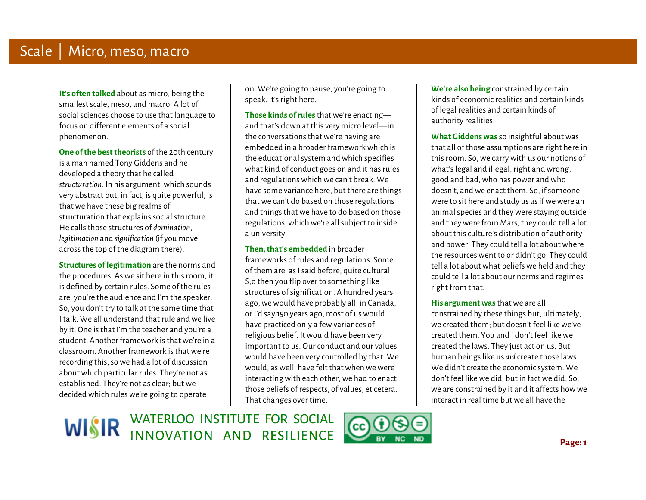**It's often talked** about as micro, being the smallest scale, meso, and macro. A lot of social sciences choose to use that language to focus on different elements of a social phenomenon.

**One of the best theorists** of the 20th century is a man named Tony Giddens and he developed a theory that he called *structuration*. In his argument, which sounds very abstract but, in fact, is quite powerful, is that we have these big realms of structuration that explains social structure. He calls those structures of *domination*, *legitimation* and *signification* (if you move across the top of the diagram there).

 i. **Structures of legitimation** are the norms and the procedures. As we sit here in this room, it is defined by certain rules. Some of the rules are: you're the audience and I'm the speaker. So, you don't try to talk at the same time that I talk. We all understand that rule and we live by it. One is that I'm the teacher and you're a student. Another framework is that we're in a classroom. Another framework is that we're recording this, so we had a lot of discussion about which particular rules. They're not as established. They're not as clear; but we decided which rules we're going to operate

on. We're going to pause, you're going to speak. It's right here.

**Those kinds of rules** that we're enacting and that's down at this very micro level—in the conversations that we're having are embedded in a broader framework which is the educational system and which specifies what kind of conduct goes on and it has rules and regulations which we can't break. We have some variance here, but there are things that we can't do based on those regulations and things that we have to do based on those regulations, which we're all subject to inside a university.

**Then, that's embedded** in broader

Ì  $\overline{a}$ frameworks of rules and regulations. Some of them are, as I said before, quite cultural. S,o then you flip over to something like structures of signification. A hundred years ago, we would have probably all, in Canada, or I'd say 150 years ago, most of us would have practiced only a few variances of religious belief. It would have been very important to us. Our conduct and our values would have been very controlled by that. We would, as well, have felt that when we were interacting with each other, we had to enact those beliefs of respects, of values, et cetera. That changes over time.

Ì **We're also being** constrained by certain kinds of economic realities and certain kinds of legal realities and certain kinds of authority realities.

**What Giddens was** so insightful about was that all of those assumptions are right here in this room. So, we carry with us our notions of what's legal and illegal, right and wrong, good and bad, who has power and who doesn't, and we enact them. So, if someone were to sit here and study us as if we were an animal species and they were staying outside and they were from Mars, they could tell a lot about this culture's distribution of authority and power. They could tell a lot about where the resources went to or didn't go. They could tell a lot about what beliefs we held and they could tell a lot about our norms and regimes right from that.

 **His argument was** that we are all constrained by these things but, ultimately, we created them; but doesn't feel like we've created them. You and I don't feel like we created the laws. They just act on us. But human beings like us *did* create those laws. We didn't create the economic system. We don't feel like we did, but in fact we did. So, we are constrained by it and it affects how we interact in real time but we all have the

WISIR WATERLOO INSTITUTE FOR SOCIAL